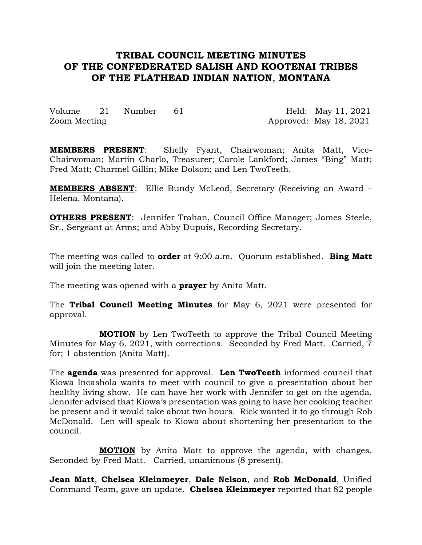# **TRIBAL COUNCIL MEETING MINUTES OF THE CONFEDERATED SALISH AND KOOTENAI TRIBES OF THE FLATHEAD INDIAN NATION**, **MONTANA**

Volume 21 Number 61 Held: May 11, 2021 Zoom Meeting Approved: May 18, 2021

**MEMBERS PRESENT**: Shelly Fyant, Chairwoman; Anita Matt, Vice-Chairwoman; Martin Charlo, Treasurer; Carole Lankford; James "Bing" Matt; Fred Matt; Charmel Gillin; Mike Dolson; and Len TwoTeeth.

**MEMBERS ABSENT**: Ellie Bundy McLeod, Secretary (Receiving an Award – Helena, Montana).

**OTHERS PRESENT**: Jennifer Trahan, Council Office Manager; James Steele, Sr., Sergeant at Arms; and Abby Dupuis, Recording Secretary.

The meeting was called to **order** at 9:00 a.m. Quorum established. **Bing Matt** will join the meeting later.

The meeting was opened with a **prayer** by Anita Matt.

The **Tribal Council Meeting Minutes** for May 6, 2021 were presented for approval.

**MOTION** by Len TwoTeeth to approve the Tribal Council Meeting Minutes for May 6, 2021, with corrections. Seconded by Fred Matt. Carried, 7 for; 1 abstention (Anita Matt).

The **agenda** was presented for approval. **Len TwoTeeth** informed council that Kiowa Incashola wants to meet with council to give a presentation about her healthy living show. He can have her work with Jennifer to get on the agenda. Jennifer advised that Kiowa's presentation was going to have her cooking teacher be present and it would take about two hours. Rick wanted it to go through Rob McDonald. Len will speak to Kiowa about shortening her presentation to the council.

**MOTION** by Anita Matt to approve the agenda, with changes. Seconded by Fred Matt. Carried, unanimous (8 present).

**Jean Matt**, **Chelsea Kleinmeyer**, **Dale Nelson**, and **Rob McDonald**, Unified Command Team, gave an update. **Chelsea Kleinmeyer** reported that 82 people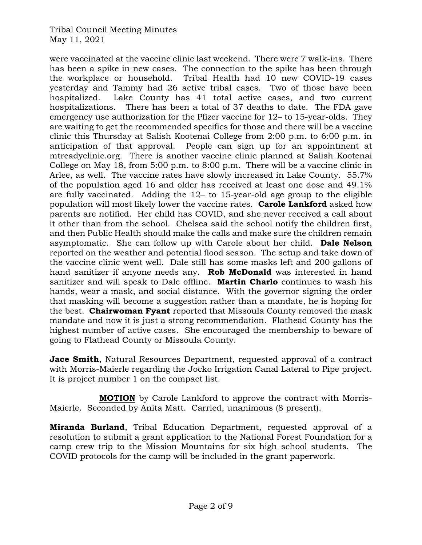were vaccinated at the vaccine clinic last weekend. There were 7 walk-ins. There has been a spike in new cases. The connection to the spike has been through the workplace or household. Tribal Health had 10 new COVID-19 cases yesterday and Tammy had 26 active tribal cases. Two of those have been hospitalized. Lake County has 41 total active cases, and two current hospitalizations. There has been a total of 37 deaths to date. The FDA gave emergency use authorization for the Pfizer vaccine for 12– to 15-year-olds. They are waiting to get the recommended specifics for those and there will be a vaccine clinic this Thursday at Salish Kootenai College from 2:00 p.m. to 6:00 p.m. in anticipation of that approval. People can sign up for an appointment at mtreadyclinic.org. There is another vaccine clinic planned at Salish Kootenai College on May 18, from 5:00 p.m. to 8:00 p.m. There will be a vaccine clinic in Arlee, as well. The vaccine rates have slowly increased in Lake County. 55.7% of the population aged 16 and older has received at least one dose and 49.1% are fully vaccinated. Adding the 12– to 15-year-old age group to the eligible population will most likely lower the vaccine rates. **Carole Lankford** asked how parents are notified. Her child has COVID, and she never received a call about it other than from the school. Chelsea said the school notify the children first, and then Public Health should make the calls and make sure the children remain asymptomatic. She can follow up with Carole about her child. **Dale Nelson** reported on the weather and potential flood season. The setup and take down of the vaccine clinic went well. Dale still has some masks left and 200 gallons of hand sanitizer if anyone needs any. **Rob McDonald** was interested in hand sanitizer and will speak to Dale offline. **Martin Charlo** continues to wash his hands, wear a mask, and social distance. With the governor signing the order that masking will become a suggestion rather than a mandate, he is hoping for the best. **Chairwoman Fyant** reported that Missoula County removed the mask mandate and now it is just a strong recommendation. Flathead County has the highest number of active cases. She encouraged the membership to beware of going to Flathead County or Missoula County.

**Jace Smith**, Natural Resources Department, requested approval of a contract with Morris-Maierle regarding the Jocko Irrigation Canal Lateral to Pipe project. It is project number 1 on the compact list.

**MOTION** by Carole Lankford to approve the contract with Morris-Maierle. Seconded by Anita Matt. Carried, unanimous (8 present).

**Miranda Burland**, Tribal Education Department, requested approval of a resolution to submit a grant application to the National Forest Foundation for a camp crew trip to the Mission Mountains for six high school students. The COVID protocols for the camp will be included in the grant paperwork.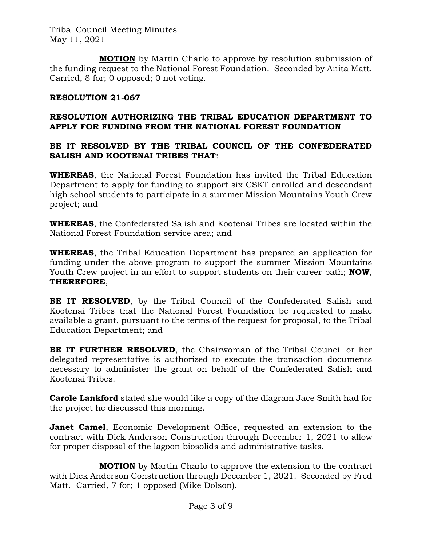**MOTION** by Martin Charlo to approve by resolution submission of the funding request to the National Forest Foundation. Seconded by Anita Matt. Carried, 8 for; 0 opposed; 0 not voting.

## **RESOLUTION 21-067**

## **RESOLUTION AUTHORIZING THE TRIBAL EDUCATION DEPARTMENT TO APPLY FOR FUNDING FROM THE NATIONAL FOREST FOUNDATION**

## **BE IT RESOLVED BY THE TRIBAL COUNCIL OF THE CONFEDERATED SALISH AND KOOTENAI TRIBES THAT**:

**WHEREAS**, the National Forest Foundation has invited the Tribal Education Department to apply for funding to support six CSKT enrolled and descendant high school students to participate in a summer Mission Mountains Youth Crew project; and

**WHEREAS**, the Confederated Salish and Kootenai Tribes are located within the National Forest Foundation service area; and

**WHEREAS**, the Tribal Education Department has prepared an application for funding under the above program to support the summer Mission Mountains Youth Crew project in an effort to support students on their career path; **NOW**, **THEREFORE**,

**BE IT RESOLVED**, by the Tribal Council of the Confederated Salish and Kootenai Tribes that the National Forest Foundation be requested to make available a grant, pursuant to the terms of the request for proposal, to the Tribal Education Department; and

**BE IT FURTHER RESOLVED**, the Chairwoman of the Tribal Council or her delegated representative is authorized to execute the transaction documents necessary to administer the grant on behalf of the Confederated Salish and Kootenai Tribes.

**Carole Lankford** stated she would like a copy of the diagram Jace Smith had for the project he discussed this morning.

**Janet Camel**, Economic Development Office, requested an extension to the contract with Dick Anderson Construction through December 1, 2021 to allow for proper disposal of the lagoon biosolids and administrative tasks.

**MOTION** by Martin Charlo to approve the extension to the contract with Dick Anderson Construction through December 1, 2021. Seconded by Fred Matt. Carried, 7 for; 1 opposed (Mike Dolson).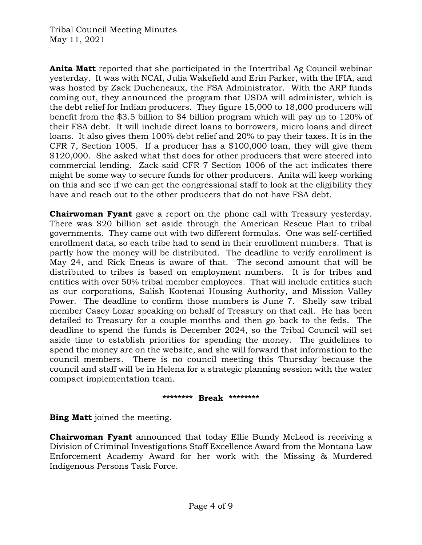**Anita Matt** reported that she participated in the Intertribal Ag Council webinar yesterday. It was with NCAI, Julia Wakefield and Erin Parker, with the IFIA, and was hosted by Zack Ducheneaux, the FSA Administrator. With the ARP funds coming out, they announced the program that USDA will administer, which is the debt relief for Indian producers. They figure 15,000 to 18,000 producers will benefit from the \$3.5 billion to \$4 billion program which will pay up to 120% of their FSA debt. It will include direct loans to borrowers, micro loans and direct loans. It also gives them 100% debt relief and 20% to pay their taxes. It is in the CFR 7, Section 1005. If a producer has a \$100,000 loan, they will give them \$120,000. She asked what that does for other producers that were steered into commercial lending. Zack said CFR 7 Section 1006 of the act indicates there might be some way to secure funds for other producers. Anita will keep working on this and see if we can get the congressional staff to look at the eligibility they have and reach out to the other producers that do not have FSA debt.

**Chairwoman Fyant** gave a report on the phone call with Treasury yesterday. There was \$20 billion set aside through the American Rescue Plan to tribal governments. They came out with two different formulas. One was self-certified enrollment data, so each tribe had to send in their enrollment numbers. That is partly how the money will be distributed. The deadline to verify enrollment is May 24, and Rick Eneas is aware of that. The second amount that will be distributed to tribes is based on employment numbers. It is for tribes and entities with over 50% tribal member employees. That will include entities such as our corporations, Salish Kootenai Housing Authority, and Mission Valley Power. The deadline to confirm those numbers is June 7. Shelly saw tribal member Casey Lozar speaking on behalf of Treasury on that call. He has been detailed to Treasury for a couple months and then go back to the feds. The deadline to spend the funds is December 2024, so the Tribal Council will set aside time to establish priorities for spending the money. The guidelines to spend the money are on the website, and she will forward that information to the council members. There is no council meeting this Thursday because the council and staff will be in Helena for a strategic planning session with the water compact implementation team.

#### **\*\*\*\*\*\*\*\* Break \*\*\*\*\*\*\*\***

**Bing Matt** joined the meeting.

**Chairwoman Fyant** announced that today Ellie Bundy McLeod is receiving a Division of Criminal Investigations Staff Excellence Award from the Montana Law Enforcement Academy Award for her work with the Missing & Murdered Indigenous Persons Task Force.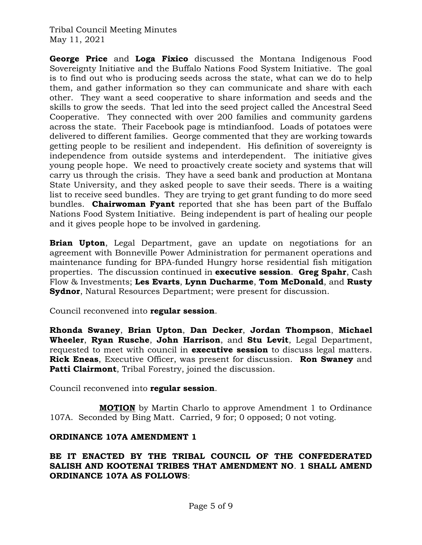**George Price** and **Loga Fixico** discussed the Montana Indigenous Food Sovereignty Initiative and the Buffalo Nations Food System Initiative. The goal is to find out who is producing seeds across the state, what can we do to help them, and gather information so they can communicate and share with each other. They want a seed cooperative to share information and seeds and the skills to grow the seeds. That led into the seed project called the Ancestral Seed Cooperative. They connected with over 200 families and community gardens across the state. Their Facebook page is mtindianfood. Loads of potatoes were delivered to different families. George commented that they are working towards getting people to be resilient and independent. His definition of sovereignty is independence from outside systems and interdependent. The initiative gives young people hope. We need to proactively create society and systems that will carry us through the crisis. They have a seed bank and production at Montana State University, and they asked people to save their seeds. There is a waiting list to receive seed bundles. They are trying to get grant funding to do more seed bundles. **Chairwoman Fyant** reported that she has been part of the Buffalo Nations Food System Initiative. Being independent is part of healing our people and it gives people hope to be involved in gardening.

**Brian Upton**, Legal Department, gave an update on negotiations for an agreement with Bonneville Power Administration for permanent operations and maintenance funding for BPA-funded Hungry horse residential fish mitigation properties. The discussion continued in **executive session**. **Greg Spahr**, Cash Flow & Investments; **Les Evarts**, **Lynn Ducharme**, **Tom McDonald**, and **Rusty Sydnor**, Natural Resources Department; were present for discussion.

Council reconvened into **regular session**.

**Rhonda Swaney**, **Brian Upton**, **Dan Decker**, **Jordan Thompson**, **Michael Wheeler**, **Ryan Rusche**, **John Harrison**, and **Stu Levit**, Legal Department, requested to meet with council in **executive session** to discuss legal matters. **Rick Eneas**, Executive Officer, was present for discussion. **Ron Swaney** and **Patti Clairmont**, Tribal Forestry, joined the discussion.

Council reconvened into **regular session**.

**MOTION** by Martin Charlo to approve Amendment 1 to Ordinance 107A. Seconded by Bing Matt. Carried, 9 for; 0 opposed; 0 not voting.

### **ORDINANCE 107A AMENDMENT 1**

### **BE IT ENACTED BY THE TRIBAL COUNCIL OF THE CONFEDERATED SALISH AND KOOTENAI TRIBES THAT AMENDMENT NO**. **1 SHALL AMEND ORDINANCE 107A AS FOLLOWS**: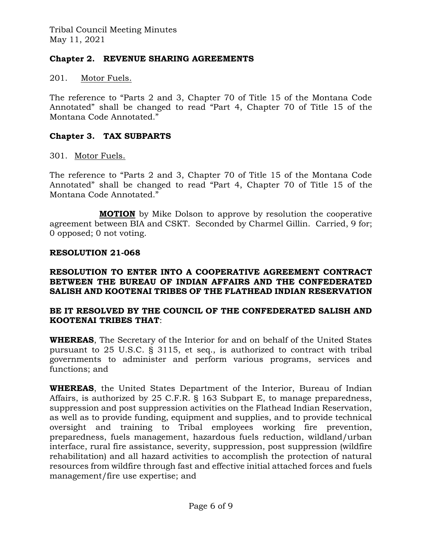## **Chapter 2. REVENUE SHARING AGREEMENTS**

201. Motor Fuels.

The reference to "Parts 2 and 3, Chapter 70 of Title 15 of the Montana Code Annotated" shall be changed to read "Part 4, Chapter 70 of Title 15 of the Montana Code Annotated."

## **Chapter 3. TAX SUBPARTS**

301. Motor Fuels.

The reference to "Parts 2 and 3, Chapter 70 of Title 15 of the Montana Code Annotated" shall be changed to read "Part 4, Chapter 70 of Title 15 of the Montana Code Annotated."

**MOTION** by Mike Dolson to approve by resolution the cooperative agreement between BIA and CSKT. Seconded by Charmel Gillin. Carried, 9 for; 0 opposed; 0 not voting.

### **RESOLUTION 21-068**

#### **RESOLUTION TO ENTER INTO A COOPERATIVE AGREEMENT CONTRACT BETWEEN THE BUREAU OF INDIAN AFFAIRS AND THE CONFEDERATED SALISH AND KOOTENAI TRIBES OF THE FLATHEAD INDIAN RESERVATION**

### **BE IT RESOLVED BY THE COUNCIL OF THE CONFEDERATED SALISH AND KOOTENAI TRIBES THAT**:

**WHEREAS**, The Secretary of the Interior for and on behalf of the United States pursuant to 25 U.S.C. § 3115, et seq., is authorized to contract with tribal governments to administer and perform various programs, services and functions; and

**WHEREAS**, the United States Department of the Interior, Bureau of Indian Affairs, is authorized by 25 C.F.R. § 163 Subpart E, to manage preparedness, suppression and post suppression activities on the Flathead Indian Reservation, as well as to provide funding, equipment and supplies, and to provide technical oversight and training to Tribal employees working fire prevention, preparedness, fuels management, hazardous fuels reduction, wildland/urban interface, rural fire assistance, severity, suppression, post suppression (wildfire rehabilitation) and all hazard activities to accomplish the protection of natural resources from wildfire through fast and effective initial attached forces and fuels management/fire use expertise; and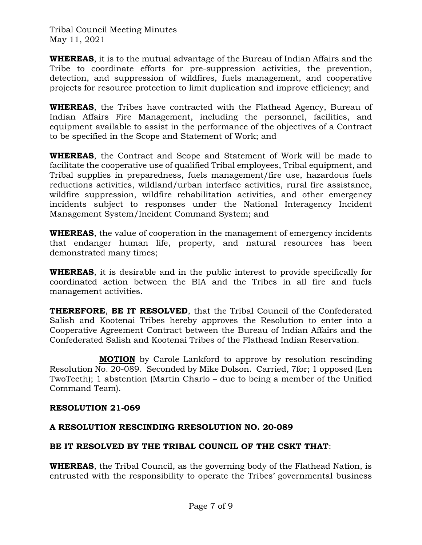**WHEREAS**, it is to the mutual advantage of the Bureau of Indian Affairs and the Tribe to coordinate efforts for pre-suppression activities, the prevention, detection, and suppression of wildfires, fuels management, and cooperative projects for resource protection to limit duplication and improve efficiency; and

**WHEREAS**, the Tribes have contracted with the Flathead Agency, Bureau of Indian Affairs Fire Management, including the personnel, facilities, and equipment available to assist in the performance of the objectives of a Contract to be specified in the Scope and Statement of Work; and

**WHEREAS**, the Contract and Scope and Statement of Work will be made to facilitate the cooperative use of qualified Tribal employees, Tribal equipment, and Tribal supplies in preparedness, fuels management/fire use, hazardous fuels reductions activities, wildland/urban interface activities, rural fire assistance, wildfire suppression, wildfire rehabilitation activities, and other emergency incidents subject to responses under the National Interagency Incident Management System/Incident Command System; and

**WHEREAS**, the value of cooperation in the management of emergency incidents that endanger human life, property, and natural resources has been demonstrated many times;

**WHEREAS**, it is desirable and in the public interest to provide specifically for coordinated action between the BIA and the Tribes in all fire and fuels management activities.

**THEREFORE**, **BE IT RESOLVED**, that the Tribal Council of the Confederated Salish and Kootenai Tribes hereby approves the Resolution to enter into a Cooperative Agreement Contract between the Bureau of Indian Affairs and the Confederated Salish and Kootenai Tribes of the Flathead Indian Reservation.

**MOTION** by Carole Lankford to approve by resolution rescinding Resolution No. 20-089. Seconded by Mike Dolson. Carried, 7for; 1 opposed (Len TwoTeeth); 1 abstention (Martin Charlo – due to being a member of the Unified Command Team).

## **RESOLUTION 21-069**

# **A RESOLUTION RESCINDING RRESOLUTION NO. 20-089**

# **BE IT RESOLVED BY THE TRIBAL COUNCIL OF THE CSKT THAT**:

**WHEREAS**, the Tribal Council, as the governing body of the Flathead Nation, is entrusted with the responsibility to operate the Tribes' governmental business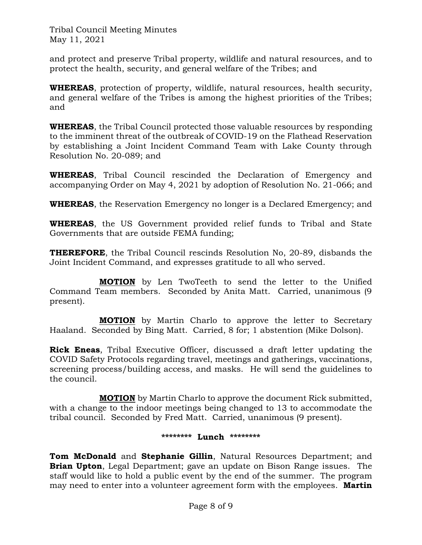and protect and preserve Tribal property, wildlife and natural resources, and to protect the health, security, and general welfare of the Tribes; and

**WHEREAS**, protection of property, wildlife, natural resources, health security, and general welfare of the Tribes is among the highest priorities of the Tribes; and

**WHEREAS**, the Tribal Council protected those valuable resources by responding to the imminent threat of the outbreak of COVID-19 on the Flathead Reservation by establishing a Joint Incident Command Team with Lake County through Resolution No. 20-089; and

**WHEREAS**, Tribal Council rescinded the Declaration of Emergency and accompanying Order on May 4, 2021 by adoption of Resolution No. 21-066; and

**WHEREAS**, the Reservation Emergency no longer is a Declared Emergency; and

**WHEREAS**, the US Government provided relief funds to Tribal and State Governments that are outside FEMA funding;

**THEREFORE**, the Tribal Council rescinds Resolution No, 20-89, disbands the Joint Incident Command, and expresses gratitude to all who served.

**MOTION** by Len TwoTeeth to send the letter to the Unified Command Team members. Seconded by Anita Matt. Carried, unanimous (9 present).

**MOTION** by Martin Charlo to approve the letter to Secretary Haaland. Seconded by Bing Matt. Carried, 8 for; 1 abstention (Mike Dolson).

**Rick Eneas**, Tribal Executive Officer, discussed a draft letter updating the COVID Safety Protocols regarding travel, meetings and gatherings, vaccinations, screening process/building access, and masks. He will send the guidelines to the council.

**MOTION** by Martin Charlo to approve the document Rick submitted, with a change to the indoor meetings being changed to 13 to accommodate the tribal council. Seconded by Fred Matt. Carried, unanimous (9 present).

### **\*\*\*\*\*\*\*\* Lunch \*\*\*\*\*\*\*\***

**Tom McDonald** and **Stephanie Gillin**, Natural Resources Department; and **Brian Upton**, Legal Department; gave an update on Bison Range issues. The staff would like to hold a public event by the end of the summer. The program may need to enter into a volunteer agreement form with the employees. **Martin**